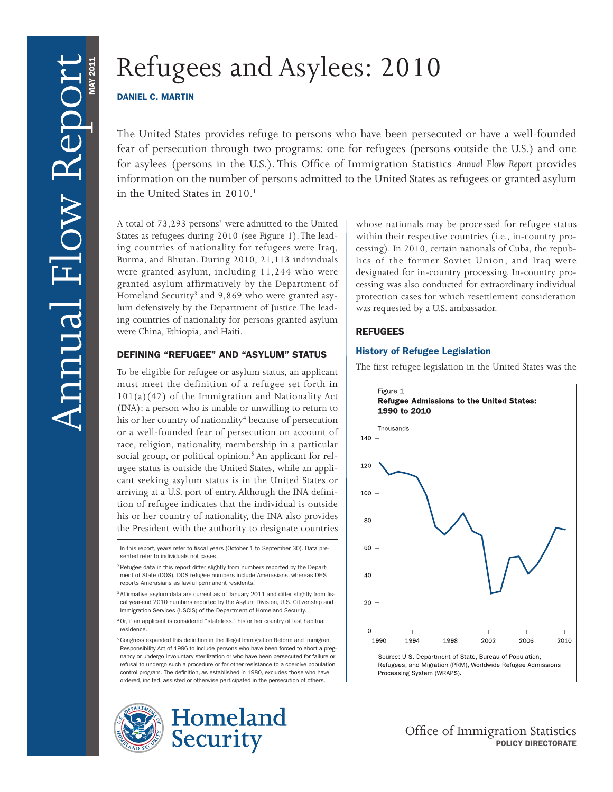# Refugees and Asylees: 2010

# DANIEL C. MARTIN

The United States provides refuge to persons who have been persecuted or have a well-founded fear of persecution through two programs: one for refugees (persons outside the U.S.) and one for asylees (persons in the U.S.). This Office of Immigration Statistics *Annual Flow Report* provides information on the number of persons admitted to the United States as refugees or granted asylum in the United States in  $2010<sup>1</sup>$ 

A total of 73,293 persons<sup>2</sup> were admitted to the United States as refugees during 2010 (see Figure 1). The leading countries of nationality for refugees were Iraq, Burma, and Bhutan. During 2010, 21,113 individuals were granted asylum, including 11,244 who were granted asylum affirmatively by the Department of Homeland Security<sup>3</sup> and 9,869 who were granted asylum defensively by the Department of Justice. The leading countries of nationality for persons granted asylum were China, Ethiopia, and Haiti.

# DEFINING "REFUGEE" AND "ASYLUM" STATUS

To be eligible for refugee or asylum status, an applicant must meet the definition of a refugee set forth in 101(a)(42) of the Immigration and Nationality Act (INA): a person who is unable or unwilling to return to his or her country of nationality<sup>4</sup> because of persecution or a well-founded fear of persecution on account of race, religion, nationality, membership in a particular social group, or political opinion.<sup>5</sup> An applicant for refugee status is outside the United States, while an applicant seeking asylum status is in the United States or arriving at a U.S. port of entry. Although the INA definition of refugee indicates that the individual is outside his or her country of nationality, the INA also provides the President with the authority to designate countries

<sup>5</sup> Congress expanded this definition in the Illegal Immigration Reform and Immigrant Responsibility Act of 1996 to include persons who have been forced to abort a pregnancy or undergo involuntary sterilization or who have been persecuted for failure or refusal to undergo such a procedure or for other resistance to a coercive population control program. The definition, as established in 1980, excludes those who have ordered, incited, assisted or otherwise participated in the persecution of others.





whose nationals may be processed for refugee status within their respective countries (i.e., in-country processing). In 2010, certain nationals of Cuba, the republics of the former Soviet Union, and Iraq were designated for in-country processing. In-country processing was also conducted for extraordinary individual protection cases for which resettlement consideration was requested by a U.S. ambassador.

# REFUGEES

# History of Refugee Legislation

The first refugee legislation in the United States was the



Refugees, and Migration (PRM), Worldwide Refugee Admissions Processing System (WRAPS).

> Office of Immigration Statistics POLICY DIRECTORATE

<sup>&</sup>lt;sup>1</sup> In this report, years refer to fiscal years (October 1 to September 30). Data presented refer to individuals not cases.

<sup>&</sup>lt;sup>2</sup> Refugee data in this report differ slightly from numbers reported by the Department of State (DOS). DOS refugee numbers include Amerasians, whereas DHS reports Amerasians as lawful permanent residents.

<sup>&</sup>lt;sup>3</sup> Affirmative asylum data are current as of January 2011 and differ slightly from fiscal year-end 2010 numbers reported by the Asylum Division, U.S. Citizenship and Immigration Services (USCIS) of the Department of Homeland Security.

<sup>4</sup> Or, if an applicant is considered "stateless," his or her country of last habitual residence.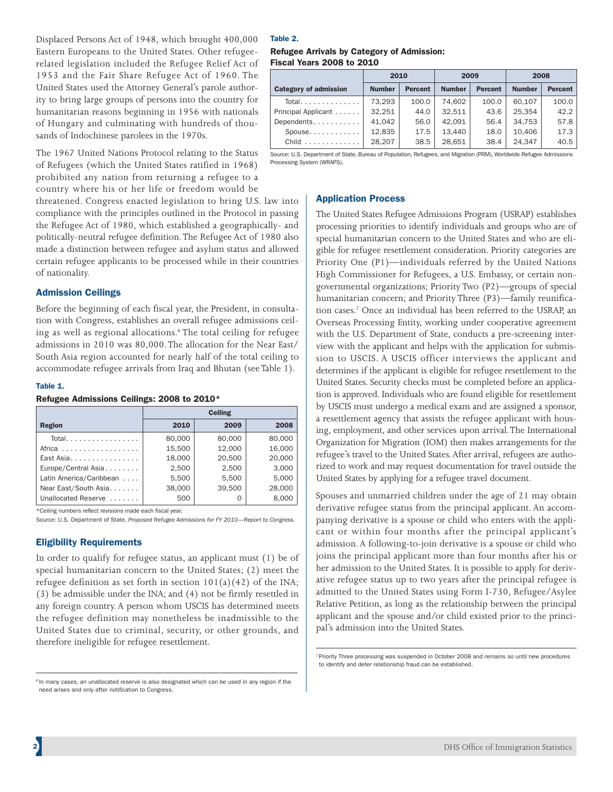Displaced Persons Act of 1948, which brought 400,000 Eastern Europeans to the United States. Other refugeerelated legislation included the Refugee Relief Act of 1953 and the Fair Share Refugee Act of 1960. The United States used the Attorney General's parole authority to bring large groups of persons into the country for humanitarian reasons beginning in 1956 with nationals of Hungary and culminating with hundreds of thousands of Indochinese parolees in the 1970s.

The 1967 United Nations Protocol relating to the Status of Refugees (which the United States ratified in 1968) prohibited any nation from returning a refugee to a country where his or her life or freedom would be

threatened. Congress enacted legislation to bring U.S. law into compliance with the principles outlined in the Protocol in passing the Refugee Act of 1980, which established a geographically- and politically-neutral refugee definition. The Refugee Act of 1980 also made a distinction between refugee and asylum status and allowed certain refugee applicants to be processed while in their countries of nationality.

#### Admission Ceilings

Before the beginning of each fiscal year, the President, in consultation with Congress, establishes an overall refugee admissions ceiling as well as regional allocations.6 The total ceiling for refugee admissions in 2010 was 80,000. The allocation for the Near East/ South Asia region accounted for nearly half of the total ceiling to accommodate refugee arrivals from Iraq and Bhutan (see Table 1).

#### Table 1.

#### Refugee Admissions Ceilings: 2008 to 2010\*

|                         | <b>Ceiling</b> |        |        |  |  |  |  |  |
|-------------------------|----------------|--------|--------|--|--|--|--|--|
| Region                  | 2010           | 2009   | 2008   |  |  |  |  |  |
| Total.                  | 80,000         | 80,000 | 80,000 |  |  |  |  |  |
| Africa                  | 15.500         | 12,000 | 16,000 |  |  |  |  |  |
| East Asia               | 18,000         | 20,500 | 20,000 |  |  |  |  |  |
| Europe/Central Asia     | 2.500          | 2.500  | 3.000  |  |  |  |  |  |
| Latin America/Caribbean | 5.500          | 5.500  | 5.000  |  |  |  |  |  |
| Near East/South Asia.   | 38,000         | 39,500 | 28,000 |  |  |  |  |  |
| Unallocated Reserve     | 500            | Ω      | 8,000  |  |  |  |  |  |

\*Ceiling numbers reflect revisions made each fiscal year.

Source: U.S. Department of State, *Proposed Refugee Admissions for FY 2010—Report to Congress.*

#### Eligibility Requirements

In order to qualify for refugee status, an applicant must (1) be of special humanitarian concern to the United States; (2) meet the refugee definition as set forth in section  $101(a)(42)$  of the INA; (3) be admissible under the INA; and (4) not be firmly resettled in any foreign country. A person whom USCIS has determined meets the refugee definition may nonetheless be inadmissible to the United States due to criminal, security, or other grounds, and therefore ineligible for refugee resettlement.

#### Table 2.

#### Refugee Arrivals by Category of Admission: Fiscal Years 2008 to 2010

|                                     | 2010          |                | 2009          |                | 2008          |                |  |
|-------------------------------------|---------------|----------------|---------------|----------------|---------------|----------------|--|
| <b>Category of admission</b>        | <b>Number</b> | <b>Percent</b> | <b>Number</b> | <b>Percent</b> | <b>Number</b> | <b>Percent</b> |  |
| Total.                              | 73.293        | 100.0          | 74.602        | 100.0          | 60.107        | 100.0          |  |
| Principal Applicant                 | 32.251        | 44.0           | 32.511        | 43.6           | 25.354        | 42.2           |  |
| Dependents                          | 41.042        | 56.0           | 42.091        | 56.4           | 34.753        | 57.8           |  |
| $Spouse. \ldots \ldots \ldots$      | 12.835        | 17.5           | 13.440        | 18.0           | 10.406        | 17.3           |  |
| Child $\ldots \ldots \ldots \ldots$ | 28.207        | 38.5           | 28.651        | 38.4           | 24.347        | 40.5           |  |

Source: U.S. Department of State, Bureau of Population, Refugees, and Migration (PRM), Worldwide Refugee Admissions Processing System (WRAPS).

#### Application Process

The United States Refugee Admissions Program (USRAP) establishes processing priorities to identify individuals and groups who are of special humanitarian concern to the United States and who are eligible for refugee resettlement consideration. Priority categories are Priority One (P1)—individuals referred by the United Nations High Commissioner for Refugees, a U.S. Embassy, or certain nongovernmental organizations; Priority Two (P2)—groups of special humanitarian concern; and Priority Three (P3)—family reunification cases.7 Once an individual has been referred to the USRAP, an Overseas Processing Entity, working under cooperative agreement with the U.S. Department of State, conducts a pre-screening interview with the applicant and helps with the application for submission to USCIS. A USCIS officer interviews the applicant and determines if the applicant is eligible for refugee resettlement to the United States. Security checks must be completed before an application is approved. Individuals who are found eligible for resettlement by USCIS must undergo a medical exam and are assigned a sponsor, a resettlement agency that assists the refugee applicant with housing, employment, and other services upon arrival. The International Organization for Migration (IOM) then makes arrangements for the refugee's travel to the United States. After arrival, refugees are authorized to work and may request documentation for travel outside the United States by applying for a refugee travel document.

Spouses and unmarried children under the age of 21 may obtain derivative refugee status from the principal applicant. An accompanying derivative is a spouse or child who enters with the applicant or within four months after the principal applicant's admission. A following-to-join derivative is a spouse or child who joins the principal applicant more than four months after his or her admission to the United States. It is possible to apply for derivative refugee status up to two years after the principal refugee is admitted to the United States using Form I-730, Refugee/Asylee Relative Petition, as long as the relationship between the principal applicant and the spouse and/or child existed prior to the principal's admission into the United States.

<sup>&</sup>lt;sup>6</sup> In many cases, an unallocated reserve is also designated which can be used in any region if the need arises and only after notification to Congress.

<sup>7</sup> Priority Three processing was suspended in October 2008 and remains so until new procedures to identify and deter relationship fraud can be established.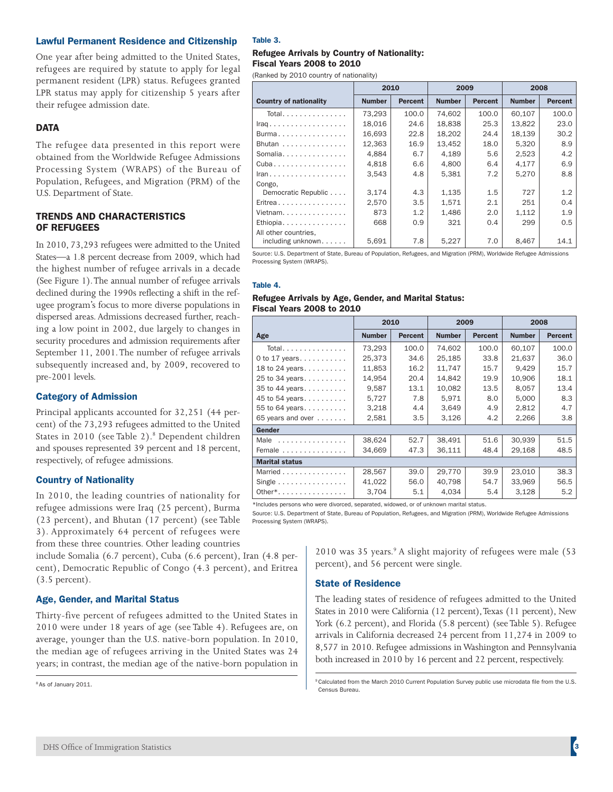#### Lawful Permanent Residence and Citizenship

One year after being admitted to the United States, refugees are required by statute to apply for legal permanent resident (LPR) status. Refugees granted LPR status may apply for citizenship 5 years after their refugee admission date.

#### **DATA**

The refugee data presented in this report were obtained from the Worldwide Refugee Admissions Processing System (WRAPS) of the Bureau of Population, Refugees, and Migration (PRM) of the U.S. Department of State.

#### TRENDS AND CHARACTERISTICS OF REFUGEES

In 2010, 73,293 refugees were admitted to the United States—a 1.8 percent decrease from 2009, which had the highest number of refugee arrivals in a decade (See Figure 1). The annual number of refugee arrivals declined during the 1990s reflecting a shift in the refugee program's focus to more diverse populations in dispersed areas. Admissions decreased further, reaching a low point in 2002, due largely to changes in security procedures and admission requirements after September 11, 2001. The number of refugee arrivals subsequently increased and, by 2009, recovered to pre-2001 levels.

#### Category of Admission

Principal applicants accounted for 32,251 (44 percent) of the 73,293 refugees admitted to the United States in 2010 (see Table 2).<sup>8</sup> Dependent children and spouses represented 39 percent and 18 percent, respectively, of refugee admissions.

# Country of Nationality

In 2010, the leading countries of nationality for refugee admissions were Iraq (25 percent), Burma (23 percent), and Bhutan (17 percent) (see Table 3). Approximately 64 percent of refugees were from these three countries. Other leading countries

include Somalia (6.7 percent), Cuba (6.6 percent), Iran (4.8 percent), Democratic Republic of Congo (4.3 percent), and Eritrea (3.5 percent).

# Age, Gender, and Marital Status

Thirty-five percent of refugees admitted to the United States in 2010 were under 18 years of age (see Table 4). Refugees are, on average, younger than the U.S. native-born population. In 2010, the median age of refugees arriving in the United States was 24 years; in contrast, the median age of the native-born population in

8 As of January 2011.

#### Table 3.

#### Refugee Arrivals by Country of Nationality: Fiscal Years 2008 to 2010

(Ranked by 2010 country of nationality)

|                               | 2010          |                | 2009          |                | 2008          |                |  |
|-------------------------------|---------------|----------------|---------------|----------------|---------------|----------------|--|
| <b>Country of nationality</b> | <b>Number</b> | <b>Percent</b> | <b>Number</b> | <b>Percent</b> | <b>Number</b> | <b>Percent</b> |  |
| Total.                        | 73,293        | 100.0          | 74.602        | 100.0          | 60.107        | 100.0          |  |
| Iraq.                         | 18.016        | 24.6           | 18.838        | 25.3           | 13.822        | 23.0           |  |
| Burma                         | 16,693        | 22.8           | 18,202        | 24.4           | 18,139        | 30.2           |  |
| Bhutan                        | 12.363        | 16.9           | 13.452        | 18.0           | 5,320         | 8.9            |  |
| Somalia                       | 4.884         | 6.7            | 4.189         | 5.6            | 2,523         | 4.2            |  |
| Cuba                          | 4,818         | 6.6            | 4,800         | 6.4            | 4,177         | 6.9            |  |
| Iran.                         | 3.543         | 4.8            | 5.381         | 7.2            | 5.270         | 8.8            |  |
| Congo,                        |               |                |               |                |               |                |  |
| Democratic Republic           | 3.174         | 4.3            | 1,135         | 1.5            | 727           | 1.2            |  |
| Eritrea                       | 2.570         | 3.5            | 1.571         | 2.1            | 251           | 0.4            |  |
| Vietnam.                      | 873           | 1.2            | 1.486         | 2.0            | 1,112         | 1.9            |  |
| Ethiopia                      | 668           | 0.9            | 321           | 0.4            | 299           | 0.5            |  |
| All other countries,          |               |                |               |                |               |                |  |
| including unknown             | 5,691         | 7.8            | 5,227         | 7.0            | 8,467         | 14.1           |  |

Source: U.S. Department of State, Bureau of Population, Refugees, and Migration (PRM), Worldwide Refugee Admissions Processing System (WRAPS).

# Table 4.

#### Refugee Arrivals by Age, Gender, and Marital Status: Fiscal Years 2008 to 2010

|                                        | 2010          |                | 2009          |                | 2008          |                |
|----------------------------------------|---------------|----------------|---------------|----------------|---------------|----------------|
| Age                                    | <b>Number</b> | <b>Percent</b> | <b>Number</b> | <b>Percent</b> | <b>Number</b> | <b>Percent</b> |
| Total                                  | 73.293        | 100.0          | 74.602        | 100.0          | 60.107        | 100.0          |
| 0 to 17 years                          | 25,373        | 34.6           | 25,185        | 33.8           | 21,637        | 36.0           |
| 18 to 24 years                         | 11,853        | 16.2           | 11.747        | 15.7           | 9.429         | 15.7           |
| 25 to 34 years                         | 14,954        | 20.4           | 14,842        | 19.9           | 10,906        | 18.1           |
| 35 to 44 years                         | 9,587         | 13.1           | 10,082        | 13.5           | 8,057         | 13.4           |
| 45 to 54 years                         | 5,727         | 7.8            | 5,971         | 8.0            | 5,000         | 8.3            |
| 55 to 64 years                         | 3,218         | 4.4            | 3,649         | 4.9            | 2,812         | 4.7            |
| 65 years and over                      | 2,581         | 3.5            | 3,126         | 4.2            | 2,266         | 3.8            |
| Gender                                 |               |                |               |                |               |                |
| Male                                   | 38,624        | 52.7           | 38,491        | 51.6           | 30,939        | 51.5           |
| Female                                 | 34,669        | 47.3           | 36,111        | 48.4           | 29,168        | 48.5           |
| <b>Marital status</b>                  |               |                |               |                |               |                |
| Married                                | 28.567        | 39.0           | 29.770        | 39.9           | 23.010        | 38.3           |
| Single $\dots \dots \dots \dots \dots$ | 41,022        | 56.0           | 40.798        | 54.7           | 33.969        | 56.5           |
| Other*                                 | 3.704         | 5.1            | 4.034         | 5.4            | 3,128         | 5.2            |

\*Includes persons who were divorced, separated, widowed, or of unknown marital status.

Source: U.S. Department of State, Bureau of Population, Refugees, and Migration (PRM), Worldwide Refugee Admissions Processing System (WRAPS).

> 2010 was 35 years.<sup>9</sup> A slight majority of refugees were male (53 percent), and 56 percent were single.

# State of Residence

The leading states of residence of refugees admitted to the United States in 2010 were California (12 percent), Texas (11 percent), New York (6.2 percent), and Florida (5.8 percent) (see Table 5). Refugee arrivals in California decreased 24 percent from 11,274 in 2009 to 8,577 in 2010. Refugee admissions in Washington and Pennsylvania both increased in 2010 by 16 percent and 22 percent, respectively.

<sup>9</sup> Calculated from the March 2010 Current Population Survey public use microdata file from the U.S. Census Bureau.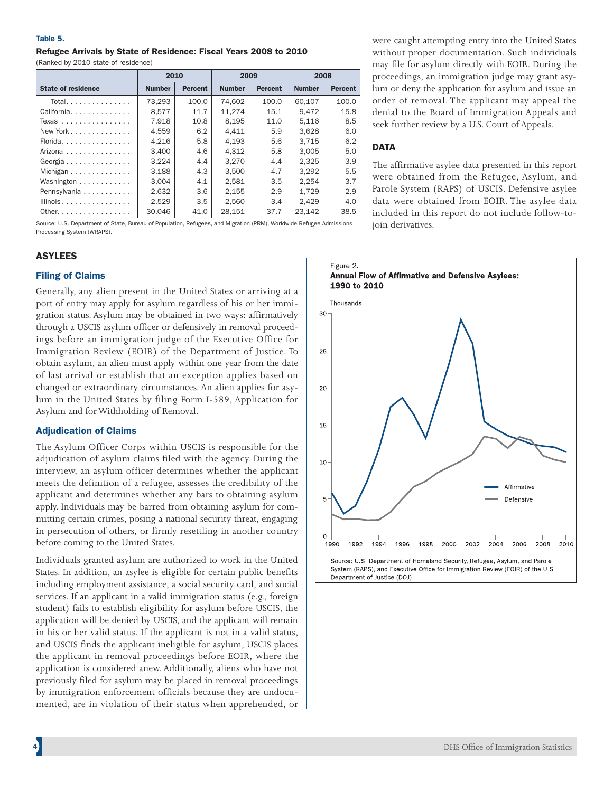#### Table 5.

# Refugee Arrivals by State of Residence: Fiscal Years 2008 to 2010

(Ranked by 2010 state of residence)

|                                                | 2010          |                |               | 2009           | 2008          |                |  |
|------------------------------------------------|---------------|----------------|---------------|----------------|---------------|----------------|--|
| <b>State of residence</b>                      | <b>Number</b> | <b>Percent</b> | <b>Number</b> | <b>Percent</b> | <b>Number</b> | <b>Percent</b> |  |
| Total.                                         | 73.293        | 100.0          | 74.602        | 100.0          | 60.107        | 100.0          |  |
| California                                     | 8.577         | 11.7           | 11.274        | 15.1           | 9.472         | 15.8           |  |
| Texas                                          | 7,918         | 10.8           | 8.195         | 11.0           | 5.116         | 8.5            |  |
| New York $\dots$ , $\dots$ , $\dots$ , $\dots$ | 4.559         | 6.2            | 4.411         | 5.9            | 3.628         | 6.0            |  |
| Florida                                        | 4,216         | 5.8            | 4.193         | 5.6            | 3.715         | 6.2            |  |
| Arizona                                        | 3.400         | 4.6            | 4.312         | 5.8            | 3.005         | 5.0            |  |
| Georgia                                        | 3.224         | 4.4            | 3.270         | 4.4            | 2.325         | 3.9            |  |
| Michigan                                       | 3.188         | 4.3            | 3.500         | 4.7            | 3.292         | 5.5            |  |
| Washington                                     | 3.004         | 4.1            | 2.581         | 3.5            | 2.254         | 3.7            |  |
| Pennsylvania                                   | 2.632         | 3.6            | 2.155         | 2.9            | 1.729         | 2.9            |  |
| Illinois                                       | 2.529         | 3.5            | 2.560         | 3.4            | 2.429         | 4.0            |  |
| Other. $\ldots$                                | 30.046        | 41.0           | 28.151        | 37.7           | 23.142        | 38.5           |  |

Source: U.S. Department of State, Bureau of Population, Refugees, and Migration (PRM), Worldwide Refugee Admissions Processing System (WRAPS).

# ASYLEES

# Filing of Claims

Generally, any alien present in the United States or arriving at a port of entry may apply for asylum regardless of his or her immigration status. Asylum may be obtained in two ways: affirmatively through a USCIS asylum officer or defensively in removal proceedings before an immigration judge of the Executive Office for Immigration Review (EOIR) of the Department of Justice. To obtain asylum, an alien must apply within one year from the date of last arrival or establish that an exception applies based on changed or extraordinary circumstances. An alien applies for asylum in the United States by filing Form I-589, Application for Asylum and for Withholding of Removal.

# **Adjudication of Claims**

The Asylum Officer Corps within USCIS is responsible for the adjudication of asylum claims filed with the agency. During the interview, an asylum officer determines whether the applicant meets the definition of a refugee, assesses the credibility of the applicant and determines whether any bars to obtaining asylum apply. Individuals may be barred from obtaining asylum for committing certain crimes, posing a national security threat, engaging in persecution of others, or firmly resettling in another country before coming to the United States.

Individuals granted asylum are authorized to work in the United States. In addition, an asylee is eligible for certain public benefits including employment assistance, a social security card, and social services. If an applicant in a valid immigration status (e.g., foreign student) fails to establish eligibility for asylum before USCIS, the application will be denied by USCIS, and the applicant will remain in his or her valid status. If the applicant is not in a valid status, and USCIS finds the applicant ineligible for asylum, USCIS places the applicant in removal proceedings before EOIR, where the application is considered anew. Additionally, aliens who have not previously filed for asylum may be placed in removal proceedings by immigration enforcement officials because they are undocumented, are in violation of their status when apprehended, or

were caught attempting entry into the United States without proper documentation. Such individuals may file for asylum directly with EOIR. During the proceedings, an immigration judge may grant asylum or deny the application for asylum and issue an order of removal. The applicant may appeal the denial to the Board of Immigration Appeals and seek further review by a U.S. Court of Appeals.

# **DATA**

The affirmative asylee data presented in this report were obtained from the Refugee, Asylum, and Parole System (RAPS) of USCIS. Defensive asylee data were obtained from EOIR. The asylee data included in this report do not include follow-tojoin derivatives.

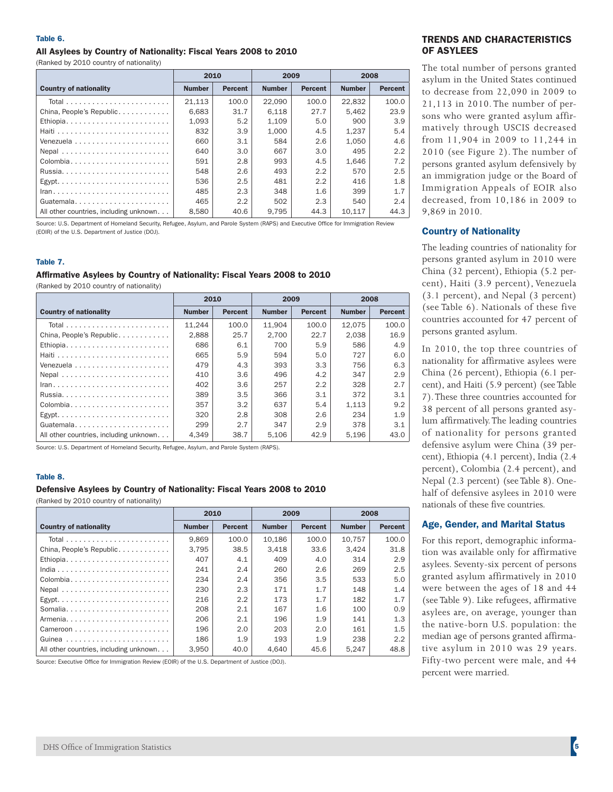#### Table 6.

# All Asylees by Country of Nationality: Fiscal Years 2008 to 2010

(Ranked by 2010 country of nationality)

|                                        | 2010          |                | 2009          |                | 2008          |                |
|----------------------------------------|---------------|----------------|---------------|----------------|---------------|----------------|
| <b>Country of nationality</b>          | <b>Number</b> | <b>Percent</b> | <b>Number</b> | <b>Percent</b> | <b>Number</b> | <b>Percent</b> |
|                                        | 21.113        | 100.0          | 22.090        | 100.0          | 22.832        | 100.0          |
| China, People's Republic               | 6.683         | 31.7           | 6.118         | 27.7           | 5.462         | 23.9           |
|                                        | 1.093         | 5.2            | 1.109         | 5.0            | 900           | 3.9            |
|                                        | 832           | 3.9            | 1.000         | 4.5            | 1,237         | 5.4            |
|                                        | 660           | 3.1            | 584           | 2.6            | 1.050         | 4.6            |
| Nepal                                  | 640           | 3.0            | 667           | 3.0            | 495           | 2.2            |
| Colombia                               | 591           | 2.8            | 993           | 4.5            | 1.646         | 7.2            |
|                                        | 548           | 2.6            | 493           | 2.2            | 570           | 2.5            |
|                                        | 536           | 2.5            | 481           | 2.2            | 416           | 1.8            |
|                                        | 485           | 2.3            | 348           | 1.6            | 399           | 1.7            |
| Guatemala                              | 465           | 2.2            | 502           | 2.3            | 540           | 2.4            |
| All other countries, including unknown | 8.580         | 40.6           | 9.795         | 44.3           | 10.117        | 44.3           |

Source: U.S. Department of Homeland Security, Refugee, Asylum, and Parole System (RAPS) and Executive Office for Immigration Review (EOIR) of the U.S. Department of Justice (DOJ).

#### Table 7.

# Affirmative Asylees by Country of Nationality: Fiscal Years 2008 to 2010

(Ranked by 2010 country of nationality)

|                                        | 2010          |                | 2009          |                | 2008          |                |
|----------------------------------------|---------------|----------------|---------------|----------------|---------------|----------------|
| <b>Country of nationality</b>          | <b>Number</b> | <b>Percent</b> | <b>Number</b> | <b>Percent</b> | <b>Number</b> | <b>Percent</b> |
|                                        | 11.244        | 100.0          | 11.904        | 100.0          | 12.075        | 100.0          |
| China, People's Republic               | 2.888         | 25.7           | 2.700         | 22.7           | 2.038         | 16.9           |
| Ethiopia                               | 686           | 6.1            | 700           | 5.9            | 586           | 4.9            |
|                                        | 665           | 5.9            | 594           | 5.0            | 727           | 6.0            |
|                                        | 479           | 4.3            | 393           | 3.3            | 756           | 6.3            |
| Nepal                                  | 410           | 3.6            | 496           | 4.2            | 347           | 2.9            |
|                                        | 402           | 3.6            | 257           | 2.2            | 328           | 2.7            |
|                                        | 389           | 3.5            | 366           | 3.1            | 372           | 3.1            |
| Colombia                               | 357           | 3.2            | 637           | 5.4            | 1.113         | 9.2            |
|                                        | 320           | 2.8            | 308           | 2.6            | 234           | 1.9            |
| Guatemala                              | 299           | 2.7            | 347           | 2.9            | 378           | 3.1            |
| All other countries, including unknown | 4.349         | 38.7           | 5.106         | 42.9           | 5.196         | 43.0           |

Source: U.S. Department of Homeland Security, Refugee, Asylum, and Parole System (RAPS).

#### Table 8.

#### Defensive Asylees by Country of Nationality: Fiscal Years 2008 to 2010

(Ranked by 2010 country of nationality)

|                                        | 2010          |                | 2009          |                | 2008          |                |
|----------------------------------------|---------------|----------------|---------------|----------------|---------------|----------------|
| <b>Country of nationality</b>          | <b>Number</b> | <b>Percent</b> | <b>Number</b> | <b>Percent</b> | <b>Number</b> | <b>Percent</b> |
|                                        | 9.869         | 100.0          | 10.186        | 100.0          | 10.757        | 100.0          |
| China, People's Republic               | 3.795         | 38.5           | 3.418         | 33.6           | 3.424         | 31.8           |
| Ethiopia                               | 407           | 4.1            | 409           | 4.0            | 314           | 2.9            |
|                                        | 241           | 2.4            | 260           | 2.6            | 269           | 2.5            |
| Colombia                               | 234           | 2.4            | 356           | 3.5            | 533           | 5.0            |
| Nepal                                  | 230           | 2.3            | 171           | 1.7            | 148           | 1.4            |
|                                        | 216           | 2.2            | 173           | 1.7            | 182           | 1.7            |
|                                        | 208           | 2.1            | 167           | 1.6            | 100           | 0.9            |
| Armenia                                | 206           | 2.1            | 196           | 1.9            | 141           | 1.3            |
|                                        | 196           | 2.0            | 203           | 2.0            | 161           | 1.5            |
|                                        | 186           | 1.9            | 193           | 1.9            | 238           | 2.2            |
| All other countries, including unknown | 3.950         | 40.0           | 4.640         | 45.6           | 5.247         | 48.8           |

Source: Executive Office for Immigration Review (EOIR) of the U.S. Department of Justice (DOJ).

#### TRENDS AND CHARACTERISTICS OF ASYLEES

The total number of persons granted asylum in the United States continued to decrease from 22,090 in 2009 to 21,113 in 2010. The number of persons who were granted asylum affirmatively through USCIS decreased from 11,904 in 2009 to 11,244 in 2010 (see Figure 2). The number of persons granted asylum defensively by an immigration judge or the Board of Immigration Appeals of EOIR also decreased, from 10,186 in 2009 to 9,869 in 2010.

#### Country of Nationality

The leading countries of nationality for persons granted asylum in 2010 were China (32 percent), Ethiopia (5.2 percent), Haiti (3.9 percent), Venezuela (3.1 percent), and Nepal (3 percent) (see Table 6). Nationals of these five countries accounted for 47 percent of persons granted asylum.

In 2010, the top three countries of nationality for affirmative asylees were China (26 percent), Ethiopia (6.1 percent), and Haiti (5.9 percent) (see Table 7). These three countries accounted for 38 percent of all persons granted asylum affirmatively. The leading countries of nationality for persons granted defensive asylum were China (39 percent), Ethiopia (4.1 percent), India (2.4 percent), Colombia (2.4 percent), and Nepal (2.3 percent) (see Table 8). Onehalf of defensive asylees in 2010 were nationals of these five countries.

#### Age, Gender, and Marital Status

For this report, demographic information was available only for affirmative asylees. Seventy-six percent of persons granted asylum affirmatively in 2010 were between the ages of 18 and 44 (see Table 9). Like refugees, affirmative asylees are, on average, younger than the native-born U.S. population: the median age of persons granted affirmative asylum in 2010 was 29 years. Fifty-two percent were male, and 44 percent were married.